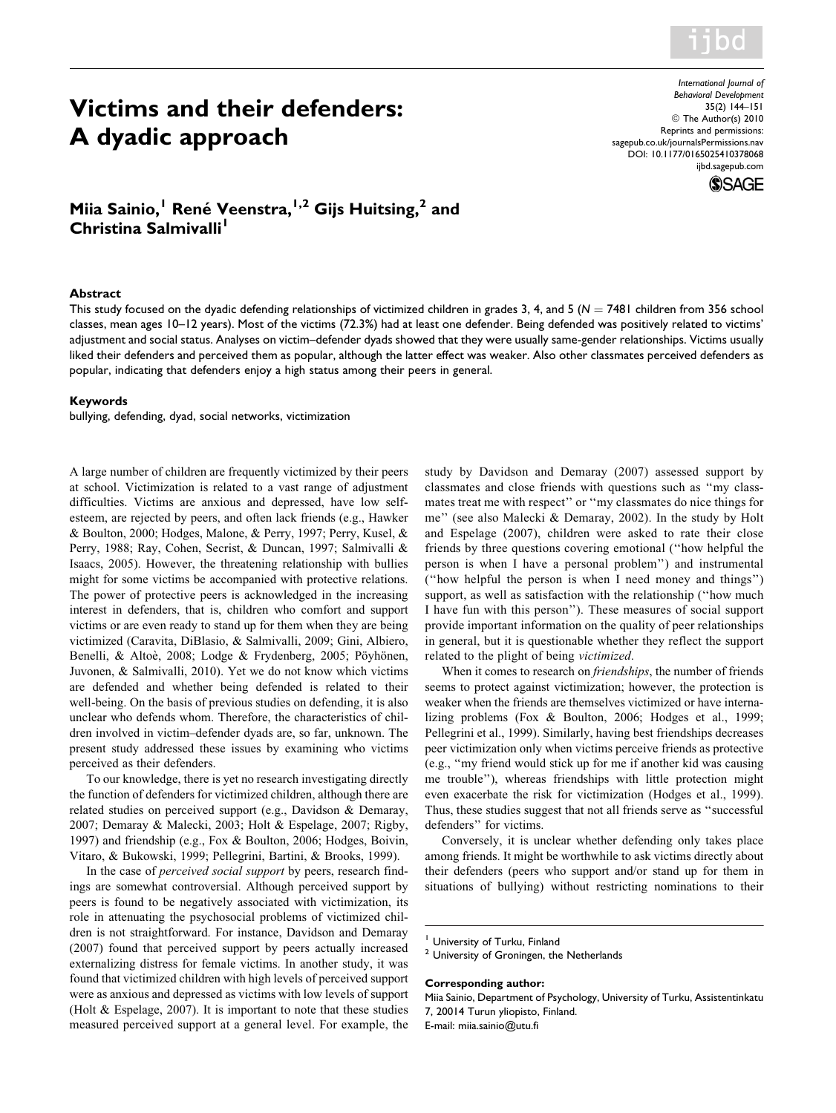

# Victims and their defenders: A dyadic approach

International Journal of Behavioral Development 35(2) 144–151 © The Author(s) 2010 Reprints and permissions: sagepub.co.uk/journalsPermissions.nav DOI: 10.1177/0165025410378068 ijbd.sagepub.com



## Miia Sainio,<sup>1</sup> René Veenstra,<sup>1,2</sup> Gijs Huitsing,<sup>2</sup> and Christina Salmivalli<sup>1</sup>

#### Abstract

This study focused on the dyadic defending relationships of victimized children in grades 3, 4, and 5  $(N = 7481)$  children from 356 school classes, mean ages 10–12 years). Most of the victims (72.3%) had at least one defender. Being defended was positively related to victims' adjustment and social status. Analyses on victim–defender dyads showed that they were usually same-gender relationships. Victims usually liked their defenders and perceived them as popular, although the latter effect was weaker. Also other classmates perceived defenders as popular, indicating that defenders enjoy a high status among their peers in general.

#### Keywords

bullying, defending, dyad, social networks, victimization

A large number of children are frequently victimized by their peers at school. Victimization is related to a vast range of adjustment difficulties. Victims are anxious and depressed, have low selfesteem, are rejected by peers, and often lack friends (e.g., Hawker & Boulton, 2000; Hodges, Malone, & Perry, 1997; Perry, Kusel, & Perry, 1988; Ray, Cohen, Secrist, & Duncan, 1997; Salmivalli & Isaacs, 2005). However, the threatening relationship with bullies might for some victims be accompanied with protective relations. The power of protective peers is acknowledged in the increasing interest in defenders, that is, children who comfort and support victims or are even ready to stand up for them when they are being victimized (Caravita, DiBlasio, & Salmivalli, 2009; Gini, Albiero, Benelli, & Altoè, 2008; Lodge & Frydenberg, 2005; Pöyhönen, Juvonen, & Salmivalli, 2010). Yet we do not know which victims are defended and whether being defended is related to their well-being. On the basis of previous studies on defending, it is also unclear who defends whom. Therefore, the characteristics of children involved in victim–defender dyads are, so far, unknown. The present study addressed these issues by examining who victims perceived as their defenders.

To our knowledge, there is yet no research investigating directly the function of defenders for victimized children, although there are related studies on perceived support (e.g., Davidson & Demaray, 2007; Demaray & Malecki, 2003; Holt & Espelage, 2007; Rigby, 1997) and friendship (e.g., Fox & Boulton, 2006; Hodges, Boivin, Vitaro, & Bukowski, 1999; Pellegrini, Bartini, & Brooks, 1999).

In the case of perceived social support by peers, research findings are somewhat controversial. Although perceived support by peers is found to be negatively associated with victimization, its role in attenuating the psychosocial problems of victimized children is not straightforward. For instance, Davidson and Demaray (2007) found that perceived support by peers actually increased externalizing distress for female victims. In another study, it was found that victimized children with high levels of perceived support were as anxious and depressed as victims with low levels of support (Holt & Espelage, 2007). It is important to note that these studies measured perceived support at a general level. For example, the

study by Davidson and Demaray (2007) assessed support by classmates and close friends with questions such as ''my classmates treat me with respect'' or ''my classmates do nice things for me'' (see also Malecki & Demaray, 2002). In the study by Holt and Espelage (2007), children were asked to rate their close friends by three questions covering emotional (''how helpful the person is when I have a personal problem'') and instrumental (''how helpful the person is when I need money and things'') support, as well as satisfaction with the relationship (''how much I have fun with this person''). These measures of social support provide important information on the quality of peer relationships in general, but it is questionable whether they reflect the support related to the plight of being victimized.

When it comes to research on *friendships*, the number of friends seems to protect against victimization; however, the protection is weaker when the friends are themselves victimized or have internalizing problems (Fox & Boulton, 2006; Hodges et al., 1999; Pellegrini et al., 1999). Similarly, having best friendships decreases peer victimization only when victims perceive friends as protective (e.g., ''my friend would stick up for me if another kid was causing me trouble''), whereas friendships with little protection might even exacerbate the risk for victimization (Hodges et al., 1999). Thus, these studies suggest that not all friends serve as ''successful defenders'' for victims.

Conversely, it is unclear whether defending only takes place among friends. It might be worthwhile to ask victims directly about their defenders (peers who support and/or stand up for them in situations of bullying) without restricting nominations to their

#### Corresponding author:

E-mail: miia.sainio@utu.fi

University of Turku, Finland

<sup>&</sup>lt;sup>2</sup> University of Groningen, the Netherlands

Miia Sainio, Department of Psychology, University of Turku, Assistentinkatu 7, 20014 Turun yliopisto, Finland.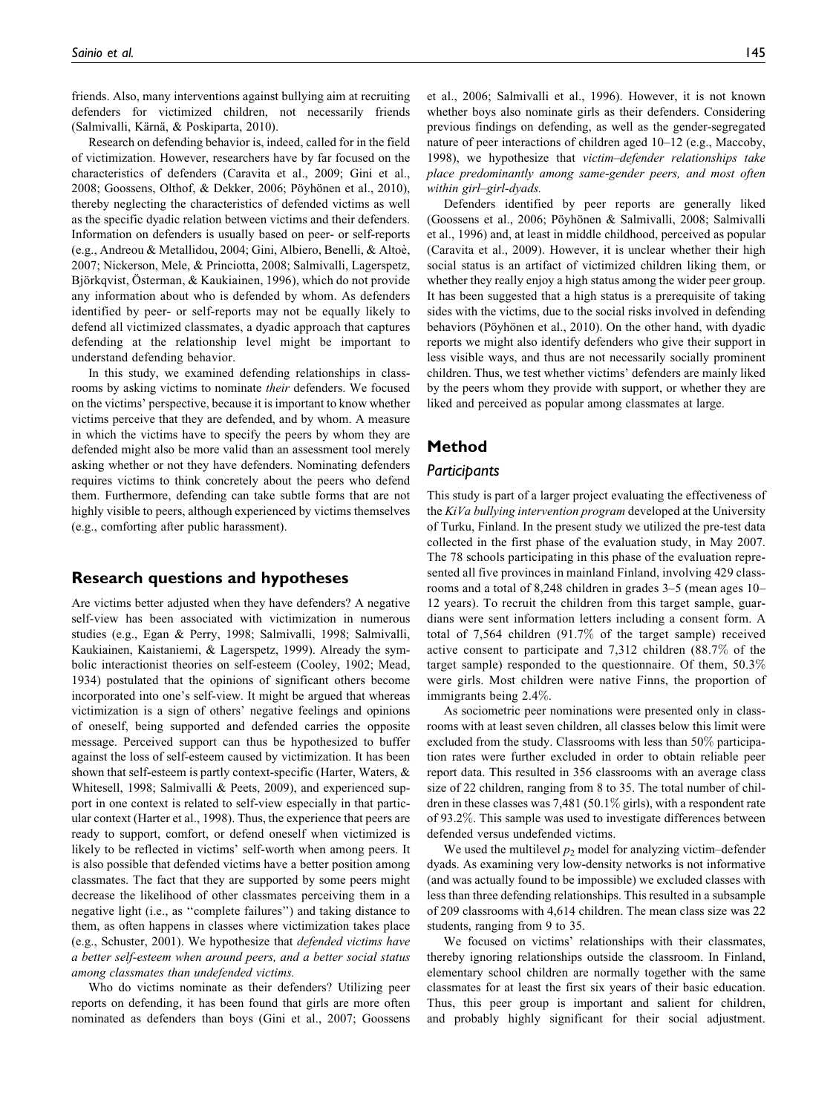friends. Also, many interventions against bullying aim at recruiting defenders for victimized children, not necessarily friends (Salmivalli, Kärnä, & Poskiparta, 2010).

Research on defending behavior is, indeed, called for in the field of victimization. However, researchers have by far focused on the characteristics of defenders (Caravita et al., 2009; Gini et al., 2008; Goossens, Olthof, & Dekker, 2006; Pöyhönen et al., 2010), thereby neglecting the characteristics of defended victims as well as the specific dyadic relation between victims and their defenders. Information on defenders is usually based on peer- or self-reports (e.g., Andreou & Metallidou, 2004; Gini, Albiero, Benelli, & Altoe`, 2007; Nickerson, Mele, & Princiotta, 2008; Salmivalli, Lagerspetz, Björkqvist, Österman, & Kaukiainen, 1996), which do not provide any information about who is defended by whom. As defenders identified by peer- or self-reports may not be equally likely to defend all victimized classmates, a dyadic approach that captures defending at the relationship level might be important to understand defending behavior.

In this study, we examined defending relationships in classrooms by asking victims to nominate their defenders. We focused on the victims' perspective, because it is important to know whether victims perceive that they are defended, and by whom. A measure in which the victims have to specify the peers by whom they are defended might also be more valid than an assessment tool merely asking whether or not they have defenders. Nominating defenders requires victims to think concretely about the peers who defend them. Furthermore, defending can take subtle forms that are not highly visible to peers, although experienced by victims themselves (e.g., comforting after public harassment).

## Research questions and hypotheses

Are victims better adjusted when they have defenders? A negative self-view has been associated with victimization in numerous studies (e.g., Egan & Perry, 1998; Salmivalli, 1998; Salmivalli, Kaukiainen, Kaistaniemi, & Lagerspetz, 1999). Already the symbolic interactionist theories on self-esteem (Cooley, 1902; Mead, 1934) postulated that the opinions of significant others become incorporated into one's self-view. It might be argued that whereas victimization is a sign of others' negative feelings and opinions of oneself, being supported and defended carries the opposite message. Perceived support can thus be hypothesized to buffer against the loss of self-esteem caused by victimization. It has been shown that self-esteem is partly context-specific (Harter, Waters, & Whitesell, 1998; Salmivalli & Peets, 2009), and experienced support in one context is related to self-view especially in that particular context (Harter et al., 1998). Thus, the experience that peers are ready to support, comfort, or defend oneself when victimized is likely to be reflected in victims' self-worth when among peers. It is also possible that defended victims have a better position among classmates. The fact that they are supported by some peers might decrease the likelihood of other classmates perceiving them in a negative light (i.e., as ''complete failures'') and taking distance to them, as often happens in classes where victimization takes place (e.g., Schuster, 2001). We hypothesize that defended victims have a better self-esteem when around peers, and a better social status among classmates than undefended victims.

Who do victims nominate as their defenders? Utilizing peer reports on defending, it has been found that girls are more often nominated as defenders than boys (Gini et al., 2007; Goossens et al., 2006; Salmivalli et al., 1996). However, it is not known whether boys also nominate girls as their defenders. Considering previous findings on defending, as well as the gender-segregated nature of peer interactions of children aged 10–12 (e.g., Maccoby, 1998), we hypothesize that victim–defender relationships take place predominantly among same-gender peers, and most often within girl–girl-dyads.

Defenders identified by peer reports are generally liked (Goossens et al., 2006; Pöyhönen & Salmivalli, 2008; Salmivalli et al., 1996) and, at least in middle childhood, perceived as popular (Caravita et al., 2009). However, it is unclear whether their high social status is an artifact of victimized children liking them, or whether they really enjoy a high status among the wider peer group. It has been suggested that a high status is a prerequisite of taking sides with the victims, due to the social risks involved in defending behaviors (Pöyhönen et al., 2010). On the other hand, with dyadic reports we might also identify defenders who give their support in less visible ways, and thus are not necessarily socially prominent children. Thus, we test whether victims' defenders are mainly liked by the peers whom they provide with support, or whether they are liked and perceived as popular among classmates at large.

## Method

#### **Participants**

This study is part of a larger project evaluating the effectiveness of the KiVa bullying intervention program developed at the University of Turku, Finland. In the present study we utilized the pre-test data collected in the first phase of the evaluation study, in May 2007. The 78 schools participating in this phase of the evaluation represented all five provinces in mainland Finland, involving 429 classrooms and a total of 8,248 children in grades 3–5 (mean ages 10– 12 years). To recruit the children from this target sample, guardians were sent information letters including a consent form. A total of 7,564 children (91.7% of the target sample) received active consent to participate and 7,312 children (88.7% of the target sample) responded to the questionnaire. Of them, 50.3% were girls. Most children were native Finns, the proportion of immigrants being 2.4%.

As sociometric peer nominations were presented only in classrooms with at least seven children, all classes below this limit were excluded from the study. Classrooms with less than 50% participation rates were further excluded in order to obtain reliable peer report data. This resulted in 356 classrooms with an average class size of 22 children, ranging from 8 to 35. The total number of children in these classes was 7,481 (50.1% girls), with a respondent rate of 93.2%. This sample was used to investigate differences between defended versus undefended victims.

We used the multilevel  $p_2$  model for analyzing victim–defender dyads. As examining very low-density networks is not informative (and was actually found to be impossible) we excluded classes with less than three defending relationships. This resulted in a subsample of 209 classrooms with 4,614 children. The mean class size was 22 students, ranging from 9 to 35.

We focused on victims' relationships with their classmates, thereby ignoring relationships outside the classroom. In Finland, elementary school children are normally together with the same classmates for at least the first six years of their basic education. Thus, this peer group is important and salient for children, and probably highly significant for their social adjustment.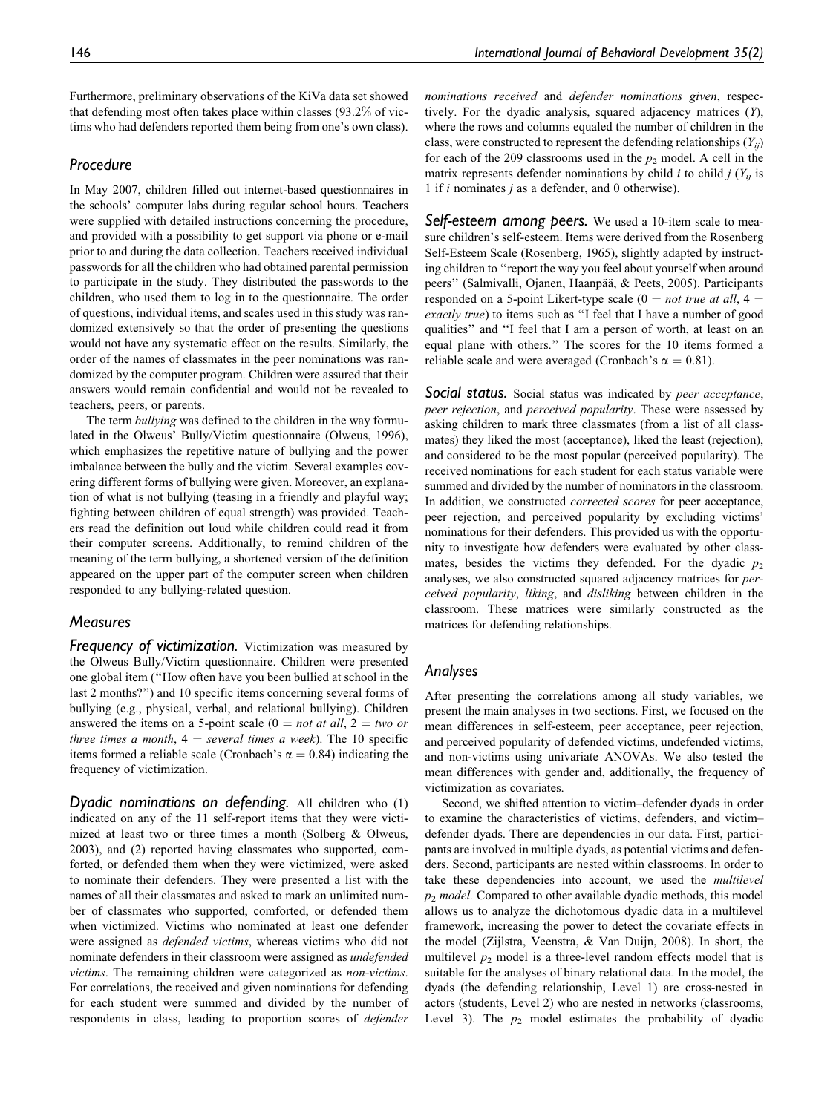Furthermore, preliminary observations of the KiVa data set showed that defending most often takes place within classes (93.2% of victims who had defenders reported them being from one's own class).

## Procedure

In May 2007, children filled out internet-based questionnaires in the schools' computer labs during regular school hours. Teachers were supplied with detailed instructions concerning the procedure, and provided with a possibility to get support via phone or e-mail prior to and during the data collection. Teachers received individual passwords for all the children who had obtained parental permission to participate in the study. They distributed the passwords to the children, who used them to log in to the questionnaire. The order of questions, individual items, and scales used in this study was randomized extensively so that the order of presenting the questions would not have any systematic effect on the results. Similarly, the order of the names of classmates in the peer nominations was randomized by the computer program. Children were assured that their answers would remain confidential and would not be revealed to teachers, peers, or parents.

The term *bullying* was defined to the children in the way formulated in the Olweus' Bully/Victim questionnaire (Olweus, 1996), which emphasizes the repetitive nature of bullying and the power imbalance between the bully and the victim. Several examples covering different forms of bullying were given. Moreover, an explanation of what is not bullying (teasing in a friendly and playful way; fighting between children of equal strength) was provided. Teachers read the definition out loud while children could read it from their computer screens. Additionally, to remind children of the meaning of the term bullying, a shortened version of the definition appeared on the upper part of the computer screen when children responded to any bullying-related question.

## **Measures**

Frequency of victimization. Victimization was measured by the Olweus Bully/Victim questionnaire. Children were presented one global item (''How often have you been bullied at school in the last 2 months?'') and 10 specific items concerning several forms of bullying (e.g., physical, verbal, and relational bullying). Children answered the items on a 5-point scale ( $0 = not at all, 2 = two or$ three times a month,  $4 = several times a week$ ). The 10 specific items formed a reliable scale (Cronbach's  $\alpha = 0.84$ ) indicating the frequency of victimization.

Dyadic nominations on defending. All children who (1) indicated on any of the 11 self-report items that they were victimized at least two or three times a month (Solberg & Olweus, 2003), and (2) reported having classmates who supported, comforted, or defended them when they were victimized, were asked to nominate their defenders. They were presented a list with the names of all their classmates and asked to mark an unlimited number of classmates who supported, comforted, or defended them when victimized. Victims who nominated at least one defender were assigned as defended victims, whereas victims who did not nominate defenders in their classroom were assigned as undefended victims. The remaining children were categorized as non-victims. For correlations, the received and given nominations for defending for each student were summed and divided by the number of respondents in class, leading to proportion scores of defender

nominations received and defender nominations given, respectively. For the dyadic analysis, squared adjacency matrices (Y), where the rows and columns equaled the number of children in the class, were constructed to represent the defending relationships  $(Y_{ii})$ for each of the 209 classrooms used in the  $p_2$  model. A cell in the matrix represents defender nominations by child i to child j  $(Y_{ii})$  is 1 if  $i$  nominates  $j$  as a defender, and 0 otherwise).

Self-esteem among peers. We used a 10-item scale to measure children's self-esteem. Items were derived from the Rosenberg Self-Esteem Scale (Rosenberg, 1965), slightly adapted by instructing children to ''report the way you feel about yourself when around peers" (Salmivalli, Ojanen, Haanpää, & Peets, 2005). Participants responded on a 5-point Likert-type scale ( $0 = not true at all, 4 =$ exactly true) to items such as ''I feel that I have a number of good qualities'' and ''I feel that I am a person of worth, at least on an equal plane with others.'' The scores for the 10 items formed a reliable scale and were averaged (Cronbach's  $\alpha = 0.81$ ).

Social status. Social status was indicated by peer acceptance, peer rejection, and perceived popularity. These were assessed by asking children to mark three classmates (from a list of all classmates) they liked the most (acceptance), liked the least (rejection), and considered to be the most popular (perceived popularity). The received nominations for each student for each status variable were summed and divided by the number of nominators in the classroom. In addition, we constructed corrected scores for peer acceptance, peer rejection, and perceived popularity by excluding victims' nominations for their defenders. This provided us with the opportunity to investigate how defenders were evaluated by other classmates, besides the victims they defended. For the dyadic  $p_2$ analyses, we also constructed squared adjacency matrices for perceived popularity, liking, and disliking between children in the classroom. These matrices were similarly constructed as the matrices for defending relationships.

#### Analyses

After presenting the correlations among all study variables, we present the main analyses in two sections. First, we focused on the mean differences in self-esteem, peer acceptance, peer rejection, and perceived popularity of defended victims, undefended victims, and non-victims using univariate ANOVAs. We also tested the mean differences with gender and, additionally, the frequency of victimization as covariates.

Second, we shifted attention to victim–defender dyads in order to examine the characteristics of victims, defenders, and victim– defender dyads. There are dependencies in our data. First, participants are involved in multiple dyads, as potential victims and defenders. Second, participants are nested within classrooms. In order to take these dependencies into account, we used the *multilevel*  $p_2$  model. Compared to other available dyadic methods, this model allows us to analyze the dichotomous dyadic data in a multilevel framework, increasing the power to detect the covariate effects in the model (Zijlstra, Veenstra, & Van Duijn, 2008). In short, the multilevel  $p_2$  model is a three-level random effects model that is suitable for the analyses of binary relational data. In the model, the dyads (the defending relationship, Level 1) are cross-nested in actors (students, Level 2) who are nested in networks (classrooms, Level 3). The  $p_2$  model estimates the probability of dyadic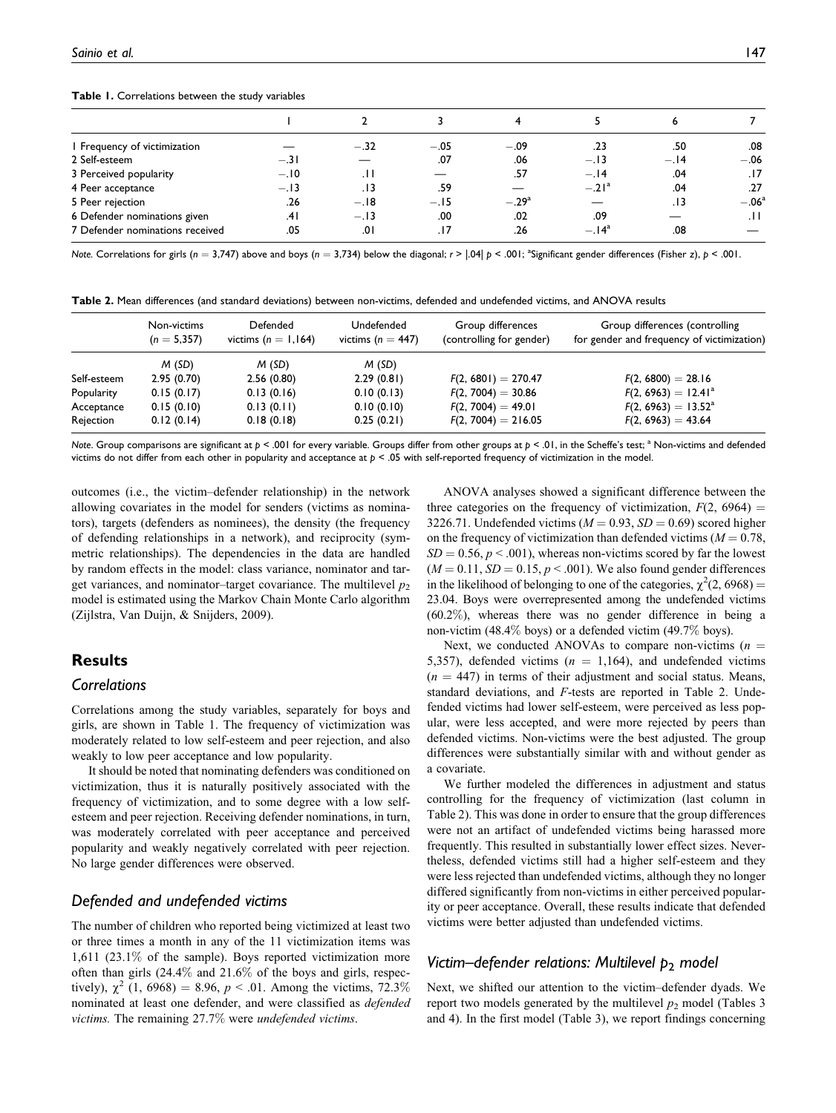#### Table 1. Correlations between the study variables

| I Frequency of victimization    |        | $-.32$ | $-.05$ | $-.09$  | .23        | .50    | .08     |
|---------------------------------|--------|--------|--------|---------|------------|--------|---------|
| 2 Self-esteem                   | $-.31$ |        | .07    | .06     | $-.13$     | $-.14$ | $-.06$  |
| 3 Perceived popularity          | $-.10$ | .11    |        | .57     | $-.14$     | .04    | .17     |
| 4 Peer acceptance               | $-.13$ | .13    | .59    |         | $-.21a$    | .04    | .27     |
| 5 Peer rejection                | .26    | $-.18$ | $-.15$ | $-.29a$ |            | . 13   | $-.063$ |
| 6 Defender nominations given    | .41    | $-.13$ | .00    | .02     | .09        |        | .H      |
| 7 Defender nominations received | .05    | 0١.    | .17    | .26     | $-.14^{a}$ | .08    |         |
|                                 |        |        |        |         |            |        |         |

Note. Correlations for girls ( $n = 3.747$ ) above and boys ( $n = 3.734$ ) below the diagonal;  $r > |.04|$   $p < .001$ ; <sup>a</sup> Significant gender differences (Fisher z),  $p < .001$ .

Table 2. Mean differences (and standard deviations) between non-victims, defended and undefended victims, and ANOVA results

|             | Non-victims<br>$(n = 5.357)$ | Defended<br>victims ( $n = 1,164$ ) | Undefended<br>victims ( $n = 447$ ) | Group differences<br>(controlling for gender) | Group differences (controlling<br>for gender and frequency of victimization) |
|-------------|------------------------------|-------------------------------------|-------------------------------------|-----------------------------------------------|------------------------------------------------------------------------------|
|             | M(SD)                        | M (SD)                              | M(SD)                               |                                               |                                                                              |
| Self-esteem | 2.95(0.70)                   | 2.56(0.80)                          | 2.29(0.81)                          | $F(2, 6801) = 270.47$                         | $F(2, 6800) = 28.16$                                                         |
| Popularity  | 0.15(0.17)                   | 0.13(0.16)                          | 0.10(0.13)                          | $F(2, 7004) = 30.86$                          | $F(2, 6963) = 12.41a$                                                        |
| Acceptance  | 0.15(0.10)                   | 0.13(0.11)                          | 0.10(0.10)                          | $F(2, 7004) = 49.01$                          | $F(2, 6963) = 13.52a$                                                        |
| Rejection   | 0.12(0.14)                   | 0.18(0.18)                          | 0.25(0.21)                          | $F(2, 7004) = 216.05$                         | $F(2, 6963) = 43.64$                                                         |

Note. Group comparisons are significant at  $p < .001$  for every variable. Groups differ from other groups at  $p < .01$ , in the Scheffe's test; <sup>a</sup> Non-victims and defended victims do not differ from each other in popularity and acceptance at  $p < .05$  with self-reported frequency of victimization in the model.

outcomes (i.e., the victim–defender relationship) in the network allowing covariates in the model for senders (victims as nominators), targets (defenders as nominees), the density (the frequency of defending relationships in a network), and reciprocity (symmetric relationships). The dependencies in the data are handled by random effects in the model: class variance, nominator and target variances, and nominator–target covariance. The multilevel  $p_2$ model is estimated using the Markov Chain Monte Carlo algorithm (Zijlstra, Van Duijn, & Snijders, 2009).

## **Results**

#### Correlations

Correlations among the study variables, separately for boys and girls, are shown in Table 1. The frequency of victimization was moderately related to low self-esteem and peer rejection, and also weakly to low peer acceptance and low popularity.

It should be noted that nominating defenders was conditioned on victimization, thus it is naturally positively associated with the frequency of victimization, and to some degree with a low selfesteem and peer rejection. Receiving defender nominations, in turn, was moderately correlated with peer acceptance and perceived popularity and weakly negatively correlated with peer rejection. No large gender differences were observed.

#### Defended and undefended victims

The number of children who reported being victimized at least two or three times a month in any of the 11 victimization items was 1,611 (23.1% of the sample). Boys reported victimization more often than girls (24.4% and 21.6% of the boys and girls, respectively),  $\chi^2$  (1, 6968) = 8.96, p < .01. Among the victims, 72.3% nominated at least one defender, and were classified as defended victims. The remaining 27.7% were *undefended victims*.

ANOVA analyses showed a significant difference between the three categories on the frequency of victimization,  $F(2, 6964) =$ 3226.71. Undefended victims ( $M = 0.93$ ,  $SD = 0.69$ ) scored higher on the frequency of victimization than defended victims ( $M = 0.78$ ,  $SD = 0.56, p < .001$ , whereas non-victims scored by far the lowest  $(M = 0.11, SD = 0.15, p < .001)$ . We also found gender differences in the likelihood of belonging to one of the categories,  $\chi^2(2, 6968)$  = 23.04. Boys were overrepresented among the undefended victims (60.2%), whereas there was no gender difference in being a non-victim (48.4% boys) or a defended victim (49.7% boys).

Next, we conducted ANOVAs to compare non-victims ( $n =$ 5,357), defended victims ( $n = 1,164$ ), and undefended victims  $(n = 447)$  in terms of their adjustment and social status. Means, standard deviations, and F-tests are reported in Table 2. Undefended victims had lower self-esteem, were perceived as less popular, were less accepted, and were more rejected by peers than defended victims. Non-victims were the best adjusted. The group differences were substantially similar with and without gender as a covariate.

We further modeled the differences in adjustment and status controlling for the frequency of victimization (last column in Table 2). This was done in order to ensure that the group differences were not an artifact of undefended victims being harassed more frequently. This resulted in substantially lower effect sizes. Nevertheless, defended victims still had a higher self-esteem and they were less rejected than undefended victims, although they no longer differed significantly from non-victims in either perceived popularity or peer acceptance. Overall, these results indicate that defended victims were better adjusted than undefended victims.

#### Victim–defender relations: Multilevel  $p_2$  model

Next, we shifted our attention to the victim–defender dyads. We report two models generated by the multilevel  $p_2$  model (Tables 3) and 4). In the first model (Table 3), we report findings concerning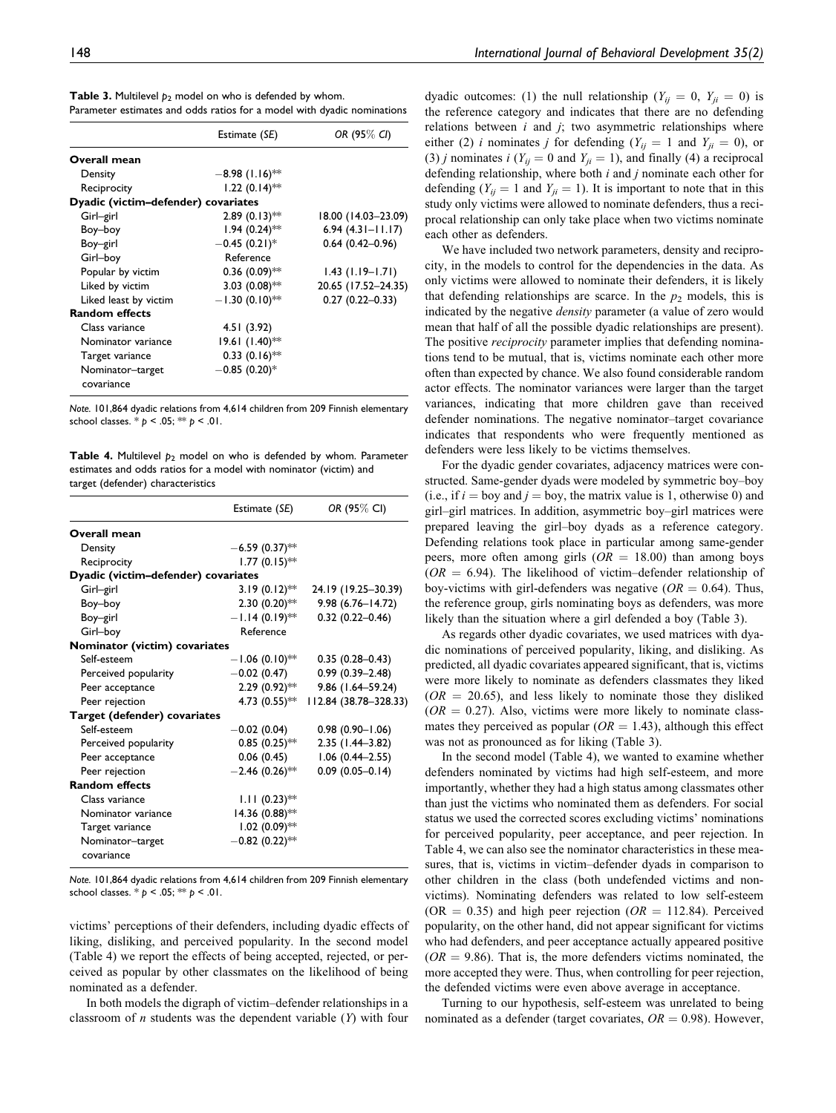|  |  | <b>Table 3.</b> Multilevel $p_2$ model on who is defended by whom. |                                                                         |
|--|--|--------------------------------------------------------------------|-------------------------------------------------------------------------|
|  |  |                                                                    | Parameter estimates and odds ratios for a model with dyadic nominations |

|                                     | Estimate (SE)                | OR (95% CI)          |
|-------------------------------------|------------------------------|----------------------|
| Overall mean                        |                              |                      |
| Density                             | $-8.98$ (1.16) <sup>**</sup> |                      |
| Reciprocity                         | $1.22 (0.14)$ **             |                      |
| Dyadic (victim-defender) covariates |                              |                      |
| Girl-girl                           | $2.89(0.13)$ **              | 18.00 (14.03-23.09)  |
| Boy-boy                             | $1.94(0.24)$ **              | $6.94(4.31 - 11.17)$ |
| Boy-girl                            | $-0.45(0.21)$ *              | $0.64(0.42 - 0.96)$  |
| Girl-boy                            | Reference                    |                      |
| Popular by victim                   | $0.36(0.09)$ **              | $1.43$ (1.19–1.71)   |
| Liked by victim                     | 3.03 $(0.08)$ **             | 20.65 (17.52-24.35)  |
| Liked least by victim               | $-1.30(0.10)$ **             | $0.27(0.22 - 0.33)$  |
| <b>Random effects</b>               |                              |                      |
| Class variance                      | 4.51(3.92)                   |                      |
| Nominator variance                  | 19.61 $(1.40)$ **            |                      |
| Target variance                     | $0.33(0.16)$ **              |                      |
| Nominator-target<br>covariance      | $-0.85(0.20)$ *              |                      |

Note. 101,864 dyadic relations from 4,614 children from 209 Finnish elementary school classes.  $* p < .05; ** p < .01$ .

Table 4. Multilevel  $p_2$  model on who is defended by whom. Parameter estimates and odds ratios for a model with nominator (victim) and target (defender) characteristics

|                                     | Estimate (SE)               | OR (95% CI)            |
|-------------------------------------|-----------------------------|------------------------|
| <b>Overall mean</b>                 |                             |                        |
| Density                             | $-6.59(0.37)$ **            |                        |
| Reciprocity                         | $1.77(0.15)$ **             |                        |
| Dyadic (victim-defender) covariates |                             |                        |
| Girl-girl                           | $3.19(0.12)$ **             | 24.19 (19.25-30.39)    |
| Boy-boy                             | $2.30(0.20)$ **             | $9.98(6.76 - 14.72)$   |
| Boy-girl                            | $-1.14(0.19)$ **            | $0.32(0.22 - 0.46)$    |
| Girl-boy                            | Reference                   |                        |
| Nominator (victim) covariates       |                             |                        |
| Self-esteem                         | $-1.06(0.10)$ <sup>**</sup> | $0.35(0.28 - 0.43)$    |
| Perceived popularity                | $-0.02(0.47)$               | $0.99(0.39 - 2.48)$    |
| Peer acceptance                     | $2.29(0.92)$ **             | 9.86 (1.64-59.24)      |
| Peer rejection                      | 4.73 $(0.55)$ **            | 112.84 (38.78-328.33)  |
| Target (defender) covariates        |                             |                        |
| Self-esteem                         | $-0.02(0.04)$               | $0.98(0.90 - 1.06)$    |
| Perceived popularity                | $0.85(0.25)$ **             | 2.35 (1.44-3.82)       |
| Peer acceptance                     | 0.06(0.45)                  | $1.06$ $(0.44 - 2.55)$ |
| Peer rejection                      | $-2.46(0.26)$ **            | $0.09$ (0.05-0.14)     |
| <b>Random effects</b>               |                             |                        |
| Class variance                      | $1.11(0.23)$ **             |                        |
| Nominator variance                  | 14.36 (0.88)**              |                        |
| Target variance                     | $1.02$ (0.09)**             |                        |
| Nominator-target                    | $-0.82(0.22)$ **            |                        |
| covariance                          |                             |                        |

Note. 101,864 dyadic relations from 4,614 children from 209 Finnish elementary school classes.  $* p < .05; ** p < .01$ .

victims' perceptions of their defenders, including dyadic effects of liking, disliking, and perceived popularity. In the second model (Table 4) we report the effects of being accepted, rejected, or perceived as popular by other classmates on the likelihood of being nominated as a defender.

In both models the digraph of victim–defender relationships in a classroom of *n* students was the dependent variable  $(Y)$  with four dyadic outcomes: (1) the null relationship ( $Y_{ij} = 0$ ,  $Y_{ji} = 0$ ) is the reference category and indicates that there are no defending relations between  $i$  and  $j$ ; two asymmetric relationships where either (2) *i* nominates *j* for defending ( $Y_{ii} = 1$  and  $Y_{ii} = 0$ ), or (3) *j* nominates *i* ( $Y_{ij} = 0$  and  $Y_{ji} = 1$ ), and finally (4) a reciprocal defending relationship, where both  $i$  and  $j$  nominate each other for defending  $(Y_{ij} = 1$  and  $Y_{ji} = 1)$ . It is important to note that in this study only victims were allowed to nominate defenders, thus a reciprocal relationship can only take place when two victims nominate each other as defenders.

We have included two network parameters, density and reciprocity, in the models to control for the dependencies in the data. As only victims were allowed to nominate their defenders, it is likely that defending relationships are scarce. In the  $p_2$  models, this is indicated by the negative *density* parameter (a value of zero would mean that half of all the possible dyadic relationships are present). The positive *reciprocity* parameter implies that defending nominations tend to be mutual, that is, victims nominate each other more often than expected by chance. We also found considerable random actor effects. The nominator variances were larger than the target variances, indicating that more children gave than received defender nominations. The negative nominator–target covariance indicates that respondents who were frequently mentioned as defenders were less likely to be victims themselves.

For the dyadic gender covariates, adjacency matrices were constructed. Same-gender dyads were modeled by symmetric boy–boy (i.e., if  $i = boy$  and  $j = boy$ , the matrix value is 1, otherwise 0) and girl–girl matrices. In addition, asymmetric boy–girl matrices were prepared leaving the girl–boy dyads as a reference category. Defending relations took place in particular among same-gender peers, more often among girls ( $OR = 18.00$ ) than among boys  $(OR = 6.94)$ . The likelihood of victim–defender relationship of boy-victims with girl-defenders was negative ( $OR = 0.64$ ). Thus, the reference group, girls nominating boys as defenders, was more likely than the situation where a girl defended a boy (Table 3).

As regards other dyadic covariates, we used matrices with dyadic nominations of perceived popularity, liking, and disliking. As predicted, all dyadic covariates appeared significant, that is, victims were more likely to nominate as defenders classmates they liked  $(OR = 20.65)$ , and less likely to nominate those they disliked  $(OR = 0.27)$ . Also, victims were more likely to nominate classmates they perceived as popular ( $OR = 1.43$ ), although this effect was not as pronounced as for liking (Table 3).

In the second model (Table 4), we wanted to examine whether defenders nominated by victims had high self-esteem, and more importantly, whether they had a high status among classmates other than just the victims who nominated them as defenders. For social status we used the corrected scores excluding victims' nominations for perceived popularity, peer acceptance, and peer rejection. In Table 4, we can also see the nominator characteristics in these measures, that is, victims in victim–defender dyads in comparison to other children in the class (both undefended victims and nonvictims). Nominating defenders was related to low self-esteem  $(OR = 0.35)$  and high peer rejection  $(OR = 112.84)$ . Perceived popularity, on the other hand, did not appear significant for victims who had defenders, and peer acceptance actually appeared positive  $(OR = 9.86)$ . That is, the more defenders victims nominated, the more accepted they were. Thus, when controlling for peer rejection, the defended victims were even above average in acceptance.

Turning to our hypothesis, self-esteem was unrelated to being nominated as a defender (target covariates,  $OR = 0.98$ ). However,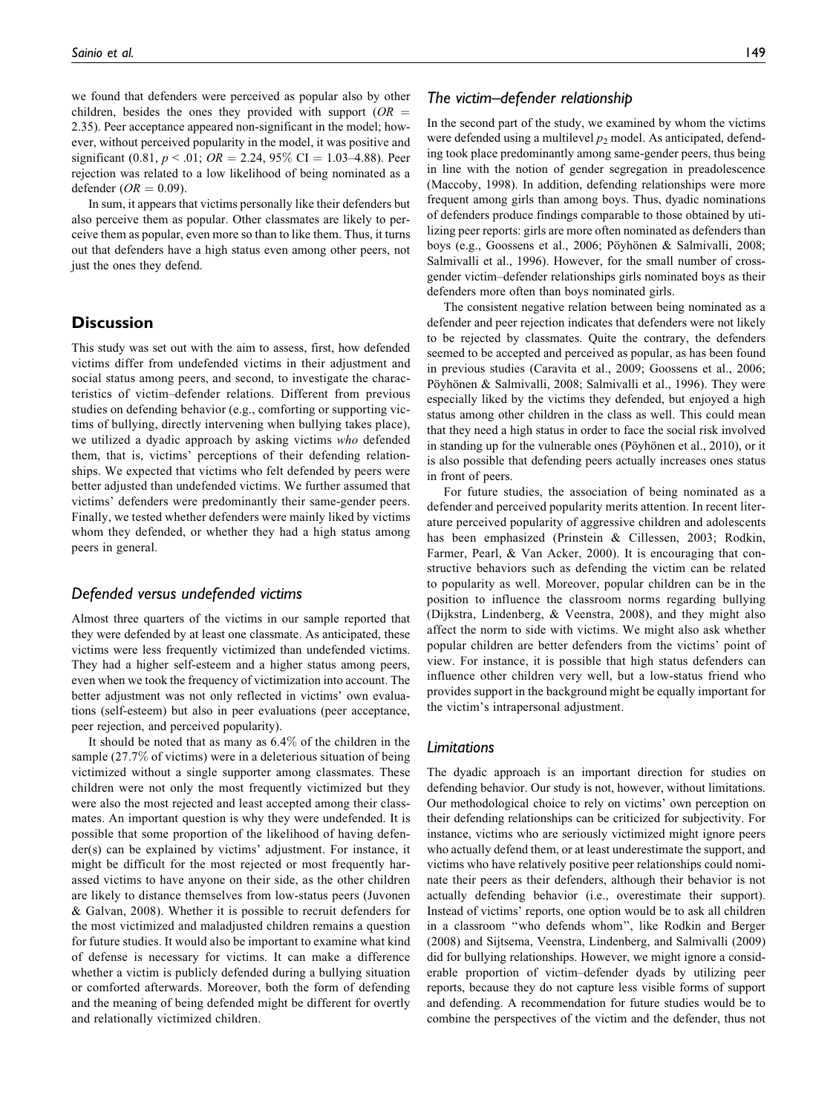we found that defenders were perceived as popular also by other children, besides the ones they provided with support ( $OR =$ 2.35). Peer acceptance appeared non-significant in the model; however, without perceived popularity in the model, it was positive and significant (0.81,  $p < .01$ ;  $OR = 2.24$ , 95% CI = 1.03–4.88). Peer rejection was related to a low likelihood of being nominated as a defender ( $OR = 0.09$ ).

In sum, it appears that victims personally like their defenders but also perceive them as popular. Other classmates are likely to perceive them as popular, even more so than to like them. Thus, it turns out that defenders have a high status even among other peers, not just the ones they defend.

## **Discussion**

This study was set out with the aim to assess, first, how defended victims differ from undefended victims in their adjustment and social status among peers, and second, to investigate the characteristics of victim–defender relations. Different from previous studies on defending behavior (e.g., comforting or supporting victims of bullying, directly intervening when bullying takes place), we utilized a dyadic approach by asking victims who defended them, that is, victims' perceptions of their defending relationships. We expected that victims who felt defended by peers were better adjusted than undefended victims. We further assumed that victims' defenders were predominantly their same-gender peers. Finally, we tested whether defenders were mainly liked by victims whom they defended, or whether they had a high status among peers in general.

## Defended versus undefended victims

Almost three quarters of the victims in our sample reported that they were defended by at least one classmate. As anticipated, these victims were less frequently victimized than undefended victims. They had a higher self-esteem and a higher status among peers, even when we took the frequency of victimization into account. The better adjustment was not only reflected in victims' own evaluations (self-esteem) but also in peer evaluations (peer acceptance, peer rejection, and perceived popularity).

It should be noted that as many as 6.4% of the children in the sample (27.7% of victims) were in a deleterious situation of being victimized without a single supporter among classmates. These children were not only the most frequently victimized but they were also the most rejected and least accepted among their classmates. An important question is why they were undefended. It is possible that some proportion of the likelihood of having defender(s) can be explained by victims' adjustment. For instance, it might be difficult for the most rejected or most frequently harassed victims to have anyone on their side, as the other children are likely to distance themselves from low-status peers (Juvonen & Galvan, 2008). Whether it is possible to recruit defenders for the most victimized and maladjusted children remains a question for future studies. It would also be important to examine what kind of defense is necessary for victims. It can make a difference whether a victim is publicly defended during a bullying situation or comforted afterwards. Moreover, both the form of defending and the meaning of being defended might be different for overtly and relationally victimized children.

In the second part of the study, we examined by whom the victims were defended using a multilevel  $p_2$  model. As anticipated, defending took place predominantly among same-gender peers, thus being in line with the notion of gender segregation in preadolescence (Maccoby, 1998). In addition, defending relationships were more frequent among girls than among boys. Thus, dyadic nominations of defenders produce findings comparable to those obtained by utilizing peer reports: girls are more often nominated as defenders than boys (e.g., Goossens et al., 2006; Pöyhönen & Salmivalli, 2008; Salmivalli et al., 1996). However, for the small number of crossgender victim–defender relationships girls nominated boys as their defenders more often than boys nominated girls.

The consistent negative relation between being nominated as a defender and peer rejection indicates that defenders were not likely to be rejected by classmates. Quite the contrary, the defenders seemed to be accepted and perceived as popular, as has been found in previous studies (Caravita et al., 2009; Goossens et al., 2006; Pöyhönen & Salmivalli, 2008; Salmivalli et al., 1996). They were especially liked by the victims they defended, but enjoyed a high status among other children in the class as well. This could mean that they need a high status in order to face the social risk involved in standing up for the vulnerable ones (Pöyhönen et al., 2010), or it is also possible that defending peers actually increases ones status in front of peers.

For future studies, the association of being nominated as a defender and perceived popularity merits attention. In recent literature perceived popularity of aggressive children and adolescents has been emphasized (Prinstein & Cillessen, 2003; Rodkin, Farmer, Pearl, & Van Acker, 2000). It is encouraging that constructive behaviors such as defending the victim can be related to popularity as well. Moreover, popular children can be in the position to influence the classroom norms regarding bullying (Dijkstra, Lindenberg, & Veenstra, 2008), and they might also affect the norm to side with victims. We might also ask whether popular children are better defenders from the victims' point of view. For instance, it is possible that high status defenders can influence other children very well, but a low-status friend who provides support in the background might be equally important for the victim's intrapersonal adjustment.

#### Limitations

The dyadic approach is an important direction for studies on defending behavior. Our study is not, however, without limitations. Our methodological choice to rely on victims' own perception on their defending relationships can be criticized for subjectivity. For instance, victims who are seriously victimized might ignore peers who actually defend them, or at least underestimate the support, and victims who have relatively positive peer relationships could nominate their peers as their defenders, although their behavior is not actually defending behavior (i.e., overestimate their support). Instead of victims' reports, one option would be to ask all children in a classroom ''who defends whom'', like Rodkin and Berger (2008) and Sijtsema, Veenstra, Lindenberg, and Salmivalli (2009) did for bullying relationships. However, we might ignore a considerable proportion of victim–defender dyads by utilizing peer reports, because they do not capture less visible forms of support and defending. A recommendation for future studies would be to combine the perspectives of the victim and the defender, thus not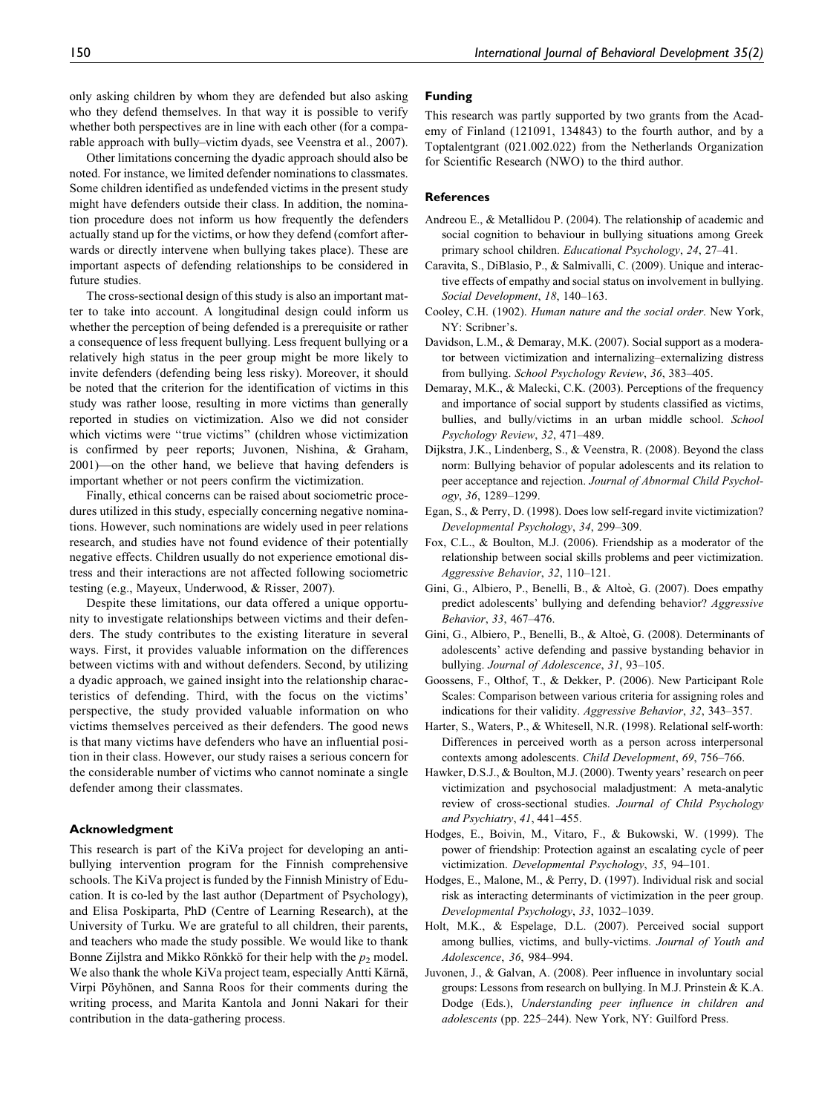only asking children by whom they are defended but also asking who they defend themselves. In that way it is possible to verify whether both perspectives are in line with each other (for a comparable approach with bully–victim dyads, see Veenstra et al., 2007).

Other limitations concerning the dyadic approach should also be noted. For instance, we limited defender nominations to classmates. Some children identified as undefended victims in the present study might have defenders outside their class. In addition, the nomination procedure does not inform us how frequently the defenders actually stand up for the victims, or how they defend (comfort afterwards or directly intervene when bullying takes place). These are important aspects of defending relationships to be considered in future studies.

The cross-sectional design of this study is also an important matter to take into account. A longitudinal design could inform us whether the perception of being defended is a prerequisite or rather a consequence of less frequent bullying. Less frequent bullying or a relatively high status in the peer group might be more likely to invite defenders (defending being less risky). Moreover, it should be noted that the criterion for the identification of victims in this study was rather loose, resulting in more victims than generally reported in studies on victimization. Also we did not consider which victims were "true victims" (children whose victimization is confirmed by peer reports; Juvonen, Nishina, & Graham, 2001)—on the other hand, we believe that having defenders is important whether or not peers confirm the victimization.

Finally, ethical concerns can be raised about sociometric procedures utilized in this study, especially concerning negative nominations. However, such nominations are widely used in peer relations research, and studies have not found evidence of their potentially negative effects. Children usually do not experience emotional distress and their interactions are not affected following sociometric testing (e.g., Mayeux, Underwood, & Risser, 2007).

Despite these limitations, our data offered a unique opportunity to investigate relationships between victims and their defenders. The study contributes to the existing literature in several ways. First, it provides valuable information on the differences between victims with and without defenders. Second, by utilizing a dyadic approach, we gained insight into the relationship characteristics of defending. Third, with the focus on the victims' perspective, the study provided valuable information on who victims themselves perceived as their defenders. The good news is that many victims have defenders who have an influential position in their class. However, our study raises a serious concern for the considerable number of victims who cannot nominate a single defender among their classmates.

#### Acknowledgment

This research is part of the KiVa project for developing an antibullying intervention program for the Finnish comprehensive schools. The KiVa project is funded by the Finnish Ministry of Education. It is co-led by the last author (Department of Psychology), and Elisa Poskiparta, PhD (Centre of Learning Research), at the University of Turku. We are grateful to all children, their parents, and teachers who made the study possible. We would like to thank Bonne Zijlstra and Mikko Rönkkö for their help with the  $p_2$  model. We also thank the whole KiVa project team, especially Antti Kärnä, Virpi Pöyhönen, and Sanna Roos for their comments during the writing process, and Marita Kantola and Jonni Nakari for their contribution in the data-gathering process.

#### Funding

This research was partly supported by two grants from the Academy of Finland (121091, 134843) to the fourth author, and by a Toptalentgrant (021.002.022) from the Netherlands Organization for Scientific Research (NWO) to the third author.

#### References

- Andreou E., & Metallidou P. (2004). The relationship of academic and social cognition to behaviour in bullying situations among Greek primary school children. Educational Psychology, 24, 27–41.
- Caravita, S., DiBlasio, P., & Salmivalli, C. (2009). Unique and interactive effects of empathy and social status on involvement in bullying. Social Development, 18, 140–163.
- Cooley, C.H. (1902). Human nature and the social order. New York, NY: Scribner's.
- Davidson, L.M., & Demaray, M.K. (2007). Social support as a moderator between victimization and internalizing–externalizing distress from bullying. School Psychology Review, 36, 383–405.
- Demaray, M.K., & Malecki, C.K. (2003). Perceptions of the frequency and importance of social support by students classified as victims, bullies, and bully/victims in an urban middle school. School Psychology Review, 32, 471–489.
- Dijkstra, J.K., Lindenberg, S., & Veenstra, R. (2008). Beyond the class norm: Bullying behavior of popular adolescents and its relation to peer acceptance and rejection. Journal of Abnormal Child Psychology, 36, 1289–1299.
- Egan, S., & Perry, D. (1998). Does low self-regard invite victimization? Developmental Psychology, 34, 299–309.
- Fox, C.L., & Boulton, M.J. (2006). Friendship as a moderator of the relationship between social skills problems and peer victimization. Aggressive Behavior, 32, 110–121.
- Gini, G., Albiero, P., Benelli, B., & Altoè, G. (2007). Does empathy predict adolescents' bullying and defending behavior? Aggressive Behavior, 33, 467–476.
- Gini, G., Albiero, P., Benelli, B., & Altoè, G. (2008). Determinants of adolescents' active defending and passive bystanding behavior in bullying. Journal of Adolescence, 31, 93–105.
- Goossens, F., Olthof, T., & Dekker, P. (2006). New Participant Role Scales: Comparison between various criteria for assigning roles and indications for their validity. Aggressive Behavior, 32, 343–357.
- Harter, S., Waters, P., & Whitesell, N.R. (1998). Relational self-worth: Differences in perceived worth as a person across interpersonal contexts among adolescents. Child Development, 69, 756–766.
- Hawker, D.S.J., & Boulton, M.J. (2000). Twenty years' research on peer victimization and psychosocial maladjustment: A meta-analytic review of cross-sectional studies. Journal of Child Psychology and Psychiatry, 41, 441–455.
- Hodges, E., Boivin, M., Vitaro, F., & Bukowski, W. (1999). The power of friendship: Protection against an escalating cycle of peer victimization. Developmental Psychology, 35, 94–101.
- Hodges, E., Malone, M., & Perry, D. (1997). Individual risk and social risk as interacting determinants of victimization in the peer group. Developmental Psychology, 33, 1032–1039.
- Holt, M.K., & Espelage, D.L. (2007). Perceived social support among bullies, victims, and bully-victims. Journal of Youth and Adolescence, 36, 984–994.
- Juvonen, J., & Galvan, A. (2008). Peer influence in involuntary social groups: Lessons from research on bullying. In M.J. Prinstein & K.A. Dodge (Eds.), Understanding peer influence in children and adolescents (pp. 225–244). New York, NY: Guilford Press.